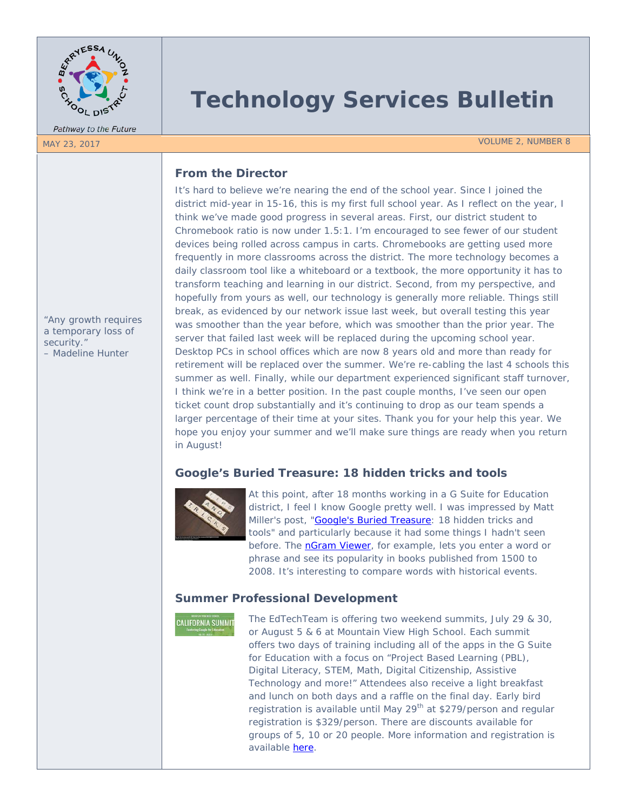

Pathway to the Future

# **Technology Services Bulletin**

MAY 23, 2017 VOLUME 2, NUMBER 8

# **From the Director**

It's hard to believe we're nearing the end of the school year. Since I joined the district mid-year in 15-16, this is my first full school year. As I reflect on the year, I think we've made good progress in several areas. First, our district student to Chromebook ratio is now under 1.5:1. I'm encouraged to see fewer of our student devices being rolled across campus in carts. Chromebooks are getting used more frequently in more classrooms across the district. The more technology becomes a daily classroom tool like a whiteboard or a textbook, the more opportunity it has to transform teaching and learning in our district. Second, from my perspective, and hopefully from yours as well, our technology is generally more reliable. Things still break, as evidenced by our network issue last week, but overall testing this year was smoother than the year before, which was smoother than the prior year. The server that failed last week will be replaced during the upcoming school year. Desktop PCs in school offices which are now 8 years old and more than ready for retirement will be replaced over the summer. We're re-cabling the last 4 schools this summer as well. Finally, while our department experienced significant staff turnover, I think we're in a better position. In the past couple months, I've seen our open ticket count drop substantially and it's continuing to drop as our team spends a larger percentage of their time at your sites. Thank you for your help this year. We hope you enjoy your summer and we'll make sure things are ready when you return in August!

# **Google's Buried Treasure: 18 hidden tricks and tools**



At this point, after 18 months working in a G Suite for Education district, I feel I know Google pretty well. I was impressed by Matt Miller's post, ["Google's Buried Treasure:](http://www.edtechupdate.com/2017/tools/?open-article-id=6404684&article-title=google-s-buried-treasure--18-hidden-tricks-and-tools&blog-domain=ditchthattextbook.com&blog-title=ditch-that-textbook) 18 hidden tricks and tools" and particularly because it had some things I hadn't seen before. The **nGram Viewer**, for example, lets you enter a word or phrase and see its popularity in books published from 1500 to 2008. It's interesting to compare words with historical events.

# **Summer Professional Development**

**CALIFORNIA SUMMIT** 

The EdTechTeam is offering two weekend summits, July 29 & 30, or August 5 & 6 at Mountain View High School. Each summit offers two days of training including all of the apps in the G Suite for Education with a focus on "Project Based Learning (PBL), Digital Literacy, STEM, Math, Digital Citizenship, Assistive Technology and more!" Attendees also receive a light breakfast and lunch on both days and a raffle on the final day. Early bird registration is available until May 29<sup>th</sup> at \$279/person and regular registration is \$329/person. There are discounts available for groups of 5, 10 or 20 people. More information and registration is available [here.](https://ca.gafesummit.com/2017)

*"Any growth requires a temporary loss of security." – Madeline Hunter*